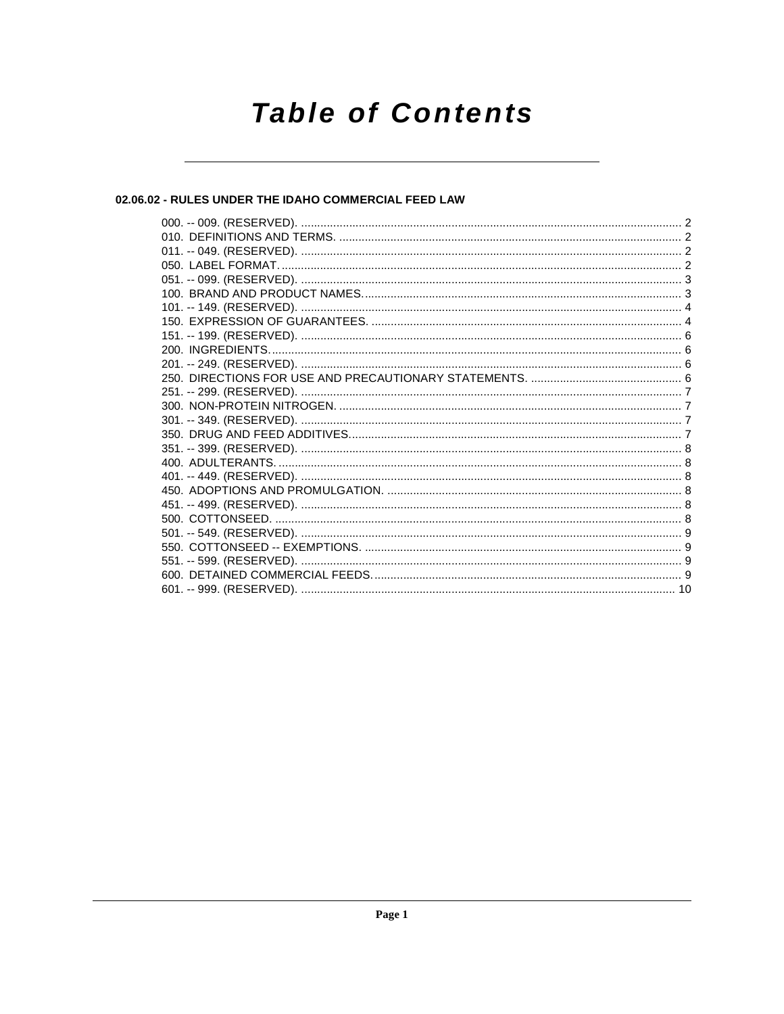# **Table of Contents**

# 02.06.02 - RULES UNDER THE IDAHO COMMERCIAL FEED LAW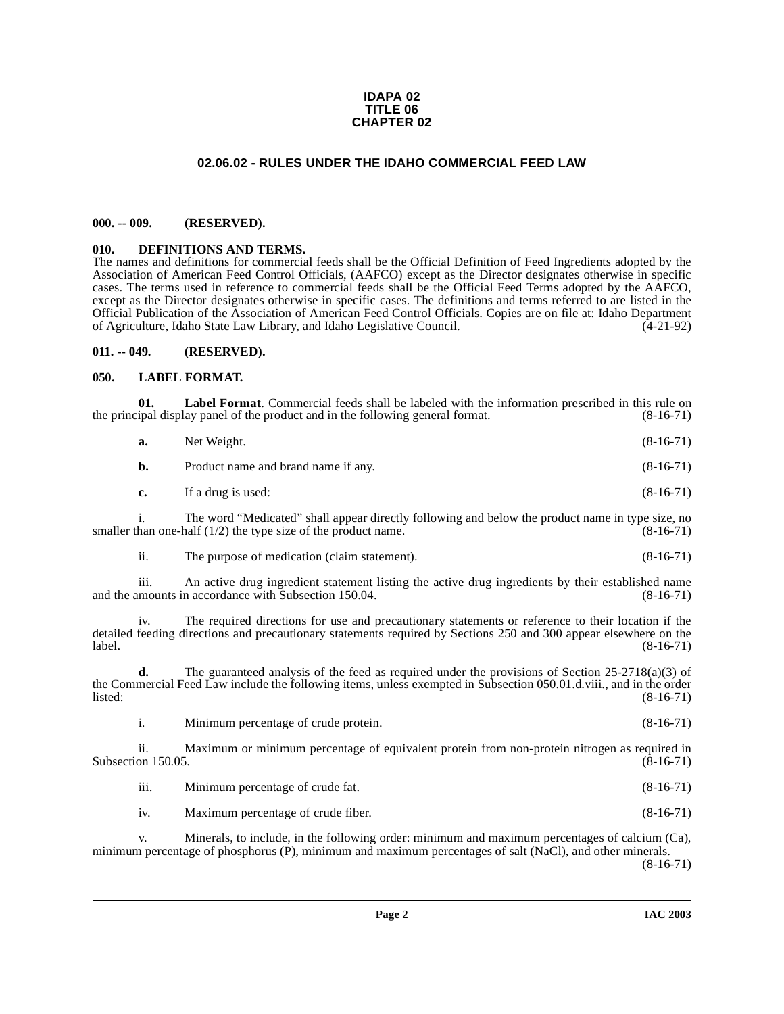### **IDAPA 02 TITLE 06 CHAPTER 02**

# **02.06.02 - RULES UNDER THE IDAHO COMMERCIAL FEED LAW**

### <span id="page-1-1"></span><span id="page-1-0"></span>**000. -- 009. (RESERVED).**

### <span id="page-1-5"></span><span id="page-1-2"></span>**010. DEFINITIONS AND TERMS.**

The names and definitions for commercial feeds shall be the Official Definition of Feed Ingredients adopted by the Association of American Feed Control Officials, (AAFCO) except as the Director designates otherwise in specific cases. The terms used in reference to commercial feeds shall be the Official Feed Terms adopted by the AAFCO, except as the Director designates otherwise in specific cases. The definitions and terms referred to are listed in the Official Publication of the Association of American Feed Control Officials. Copies are on file at: Idaho Department of Agriculture, Idaho State Law Library, and Idaho Legislative Council.

### <span id="page-1-3"></span>**011. -- 049. (RESERVED).**

### <span id="page-1-6"></span><span id="page-1-4"></span>**050. LABEL FORMAT.**

|        | 01.  | <b>Label Format.</b> Commercial feeds shall be labeled with the information prescribed in this rule on<br>the principal display panel of the product and in the following general format.                               | $(8-16-71)$ |
|--------|------|-------------------------------------------------------------------------------------------------------------------------------------------------------------------------------------------------------------------------|-------------|
|        | a.   | Net Weight.                                                                                                                                                                                                             | $(8-16-71)$ |
|        | b.   | Product name and brand name if any.                                                                                                                                                                                     | $(8-16-71)$ |
|        | c.   | If a drug is used:                                                                                                                                                                                                      | $(8-16-71)$ |
|        |      | The word "Medicated" shall appear directly following and below the product name in type size, no<br>smaller than one-half $(1/2)$ the type size of the product name.                                                    | $(8-16-71)$ |
|        | ii.  | The purpose of medication (claim statement).                                                                                                                                                                            | $(8-16-71)$ |
|        | 111. | An active drug ingredient statement listing the active drug ingredients by their established name<br>and the amounts in accordance with Subsection 150.04.                                                              | $(8-16-71)$ |
| label. | iv.  | The required directions for use and precautionary statements or reference to their location if the<br>detailed feeding directions and precautionary statements required by Sections 250 and 300 appear elsewhere on the | $(8-16-71)$ |

**d.** The guaranteed analysis of the feed as required under the provisions of Section 25-2718(a)(3) of the Commercial Feed Law include the following items, unless exempted in Subsection 050.01.d.viii., and in the order<br>(8-16-71) listed: (8-16-71)

i. Minimum percentage of crude protein. (8-16-71)

ii. Maximum or minimum percentage of equivalent protein from non-protein nitrogen as required in on 150.05. (8-16-71) Subsection 150.05.

| .<br>- 111. | Minimum percentage of crude fat. | $(8-16-71)$ |
|-------------|----------------------------------|-------------|
|-------------|----------------------------------|-------------|

iv. Maximum percentage of crude fiber. (8-16-71)

v. Minerals, to include, in the following order: minimum and maximum percentages of calcium (Ca), minimum percentage of phosphorus (P), minimum and maximum percentages of salt (NaCl), and other minerals. (8-16-71)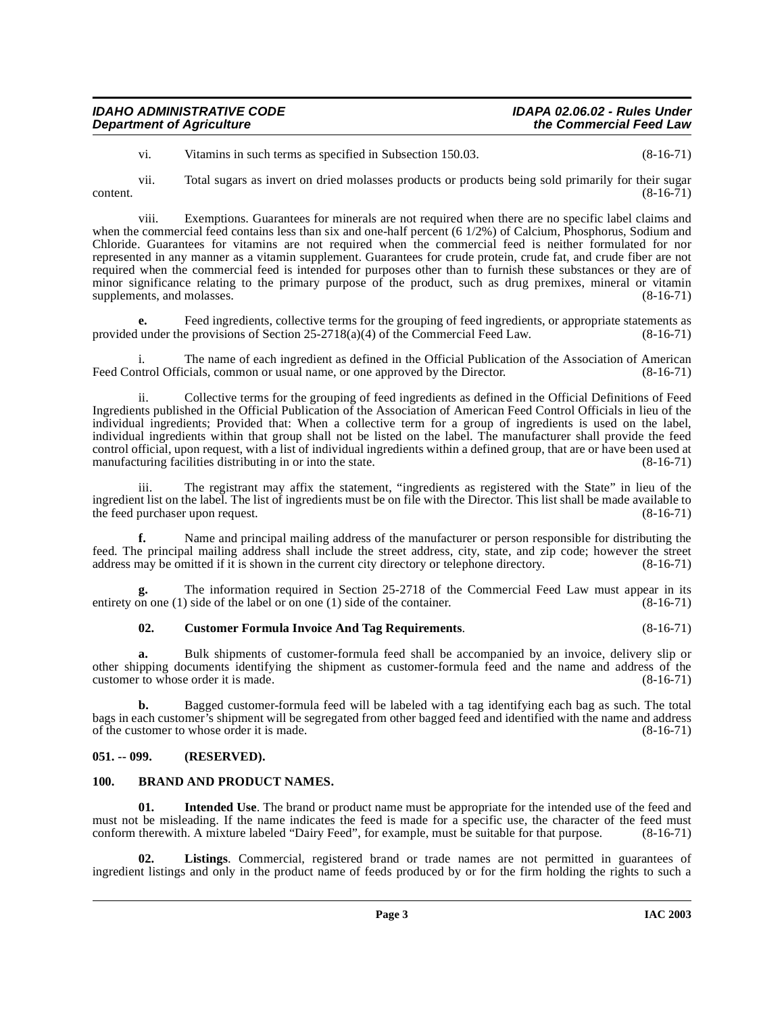| <b>IDAHO ADMINISTRATIVE CODE</b> | IDAPA 02.06.02 - Rules Under |
|----------------------------------|------------------------------|
|                                  |                              |
| <b>Department of Agriculture</b> | the Commercial Feed Law      |

vi. Vitamins in such terms as specified in Subsection 150.03. (8-16-71)

vii. Total sugars as invert on dried molasses products or products being sold primarily for their sugar  $\text{content.}$  (8-16-71)

viii. Exemptions. Guarantees for minerals are not required when there are no specific label claims and when the commercial feed contains less than six and one-half percent (6 1/2%) of Calcium, Phosphorus, Sodium and Chloride. Guarantees for vitamins are not required when the commercial feed is neither formulated for nor represented in any manner as a vitamin supplement. Guarantees for crude protein, crude fat, and crude fiber are not required when the commercial feed is intended for purposes other than to furnish these substances or they are of minor significance relating to the primary purpose of the product, such as drug premixes, mineral or vitamin supplements, and molasses. (8-16-71)

**e.** Feed ingredients, collective terms for the grouping of feed ingredients, or appropriate statements as provided under the provisions of Section 25-2718(a)(4) of the Commercial Feed Law. (8-16-71)

i. The name of each ingredient as defined in the Official Publication of the Association of American<br>ntrol Officials, common or usual name, or one approved by the Director. (8-16-71) Feed Control Officials, common or usual name, or one approved by the Director.

Collective terms for the grouping of feed ingredients as defined in the Official Definitions of Feed Ingredients published in the Official Publication of the Association of American Feed Control Officials in lieu of the individual ingredients; Provided that: When a collective term for a group of ingredients is used on the label, individual ingredients within that group shall not be listed on the label. The manufacturer shall provide the feed control official, upon request, with a list of individual ingredients within a defined group, that are or have been used at manufacturing facilities distributing in or into the state. (8-16-71)

iii. The registrant may affix the statement, "ingredients as registered with the State" in lieu of the ingredient list on the label. The list of ingredients must be on file with the Director. This list shall be made available to the feed purchaser upon request. (8-16-71) the feed purchaser upon request.

**f.** Name and principal mailing address of the manufacturer or person responsible for distributing the feed. The principal mailing address shall include the street address, city, state, and zip code; however the street address may be omitted if it is shown in the current city directory or telephone directory. (8-16-71)

The information required in Section 25-2718 of the Commercial Feed Law must appear in its<br>) side of the label or on one (1) side of the container. (8-16-71) entirety on one  $(1)$  side of the label or on one  $(1)$  side of the container.

# <span id="page-2-3"></span>**02. Customer Formula Invoice And Tag Requirements**. (8-16-71)

**a.** Bulk shipments of customer-formula feed shall be accompanied by an invoice, delivery slip or other shipping documents identifying the shipment as customer-formula feed and the name and address of the customer to whose order it is made. (8-16-71) customer to whose order it is made.

**b.** Bagged customer-formula feed will be labeled with a tag identifying each bag as such. The total bags in each customer's shipment will be segregated from other bagged feed and identified with the name and address<br>of the customer to whose order it is made. of the customer to whose order it is made.

### <span id="page-2-0"></span>**051. -- 099. (RESERVED).**

# <span id="page-2-2"></span><span id="page-2-1"></span>**100. BRAND AND PRODUCT NAMES.**

<span id="page-2-4"></span>**Intended Use**. The brand or product name must be appropriate for the intended use of the feed and must not be misleading. If the name indicates the feed is made for a specific use, the character of the feed must conform therewith. A mixture labeled "Dairy Feed", for example, must be suitable for that purpose. (8-16-71)

<span id="page-2-5"></span>**02. Listings**. Commercial, registered brand or trade names are not permitted in guarantees of ingredient listings and only in the product name of feeds produced by or for the firm holding the rights to such a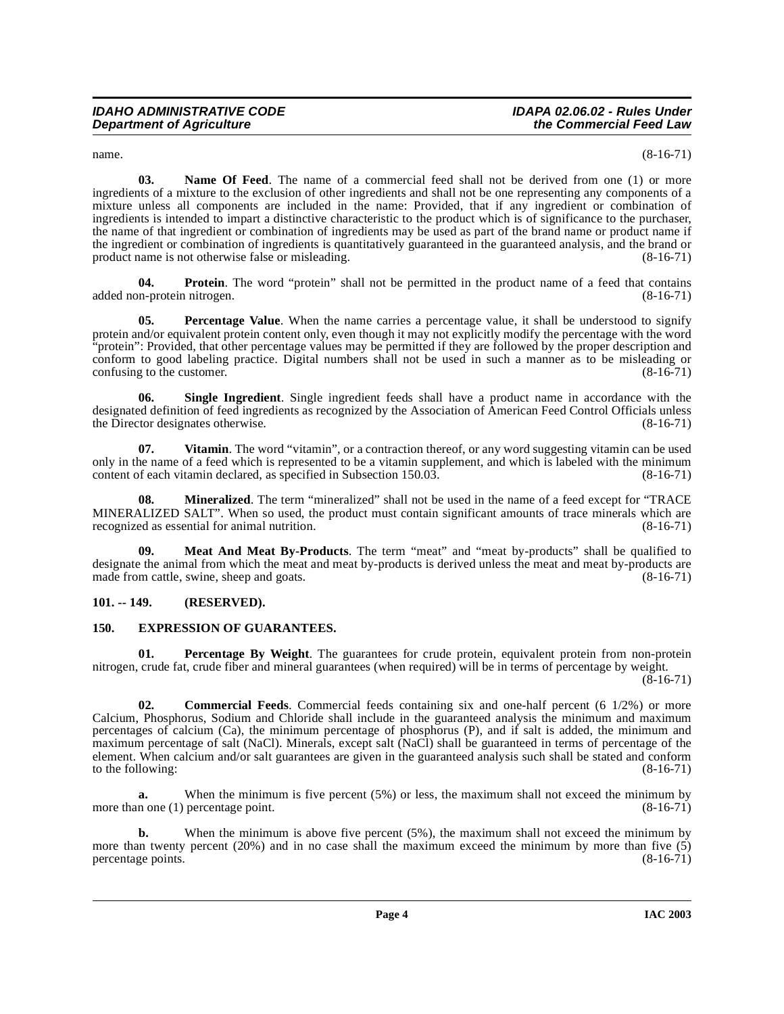<span id="page-3-6"></span>

 $n = (8-16-71)$ 

**03. Name Of Feed**. The name of a commercial feed shall not be derived from one (1) or more ingredients of a mixture to the exclusion of other ingredients and shall not be one representing any components of a mixture unless all components are included in the name: Provided, that if any ingredient or combination of ingredients is intended to impart a distinctive characteristic to the product which is of significance to the purchaser, the name of that ingredient or combination of ingredients may be used as part of the brand name or product name if the ingredient or combination of ingredients is quantitatively guaranteed in the guaranteed analysis, and the brand or product name is not otherwise false or misleading. (8-16-71)

<span id="page-3-9"></span>**04. Protein**. The word "protein" shall not be permitted in the product name of a feed that contains in-protein nitrogen. (8-16-71) added non-protein nitrogen.

<span id="page-3-8"></span>**Percentage Value**. When the name carries a percentage value, it shall be understood to signify protein and/or equivalent protein content only, even though it may not explicitly modify the percentage with the word "protein": Provided, that other percentage values may be permitted if they are followed by the proper description and conform to good labeling practice. Digital numbers shall not be used in such a manner as to be misleading or confusing to the customer. (8-16-71) confusing to the customer.

<span id="page-3-10"></span>**06. Single Ingredient**. Single ingredient feeds shall have a product name in accordance with the designated definition of feed ingredients as recognized by the Association of American Feed Control Officials unless<br>the Director designates otherwise. (8-16-71) the Director designates otherwise.

<span id="page-3-11"></span>**07.** Vitamin. The word "vitamin", or a contraction thereof, or any word suggesting vitamin can be used only in the name of a feed which is represented to be a vitamin supplement, and which is labeled with the minimum content of each vitamin declared, as specified in Subsection 150.03. (8-16-71)

<span id="page-3-5"></span>**08.** Mineralized. The term "mineralized" shall not be used in the name of a feed except for "TRACE MINERALIZED SALT". When so used, the product must contain significant amounts of trace minerals which are recognized as essential for animal nutrition. (8-16-71)

<span id="page-3-4"></span>**09. Meat And Meat By-Products**. The term "meat" and "meat by-products" shall be qualified to designate the animal from which the meat and meat by-products is derived unless the meat and meat by-products are made from cattle, swine, sheep and goats. (8-16-71)

# <span id="page-3-0"></span>**101. -- 149. (RESERVED).**

# <span id="page-3-3"></span><span id="page-3-1"></span>**150. EXPRESSION OF GUARANTEES.**

<span id="page-3-7"></span>**01.** Percentage By Weight. The guarantees for crude protein, equivalent protein from non-protein nitrogen, crude fat, crude fiber and mineral guarantees (when required) will be in terms of percentage by weight.

 $(8-16-71)$ 

<span id="page-3-2"></span>**02. Commercial Feeds**. Commercial feeds containing six and one-half percent (6 1/2%) or more Calcium, Phosphorus, Sodium and Chloride shall include in the guaranteed analysis the minimum and maximum percentages of calcium (Ca), the minimum percentage of phosphorus (P), and if salt is added, the minimum and maximum percentage of salt (NaCl). Minerals, except salt (NaCl) shall be guaranteed in terms of percentage of the element. When calcium and/or salt guarantees are given in the guaranteed analysis such shall be stated and conform to the following:  $(8-16-71)$ 

**a.** When the minimum is five percent (5%) or less, the maximum shall not exceed the minimum by more than one (1) percentage point. (8-16-71)

**b.** When the minimum is above five percent (5%), the maximum shall not exceed the minimum by more than twenty percent (20%) and in no case shall the maximum exceed the minimum by more than five (5) percentage points.  $(8-16-71)$ percentage points.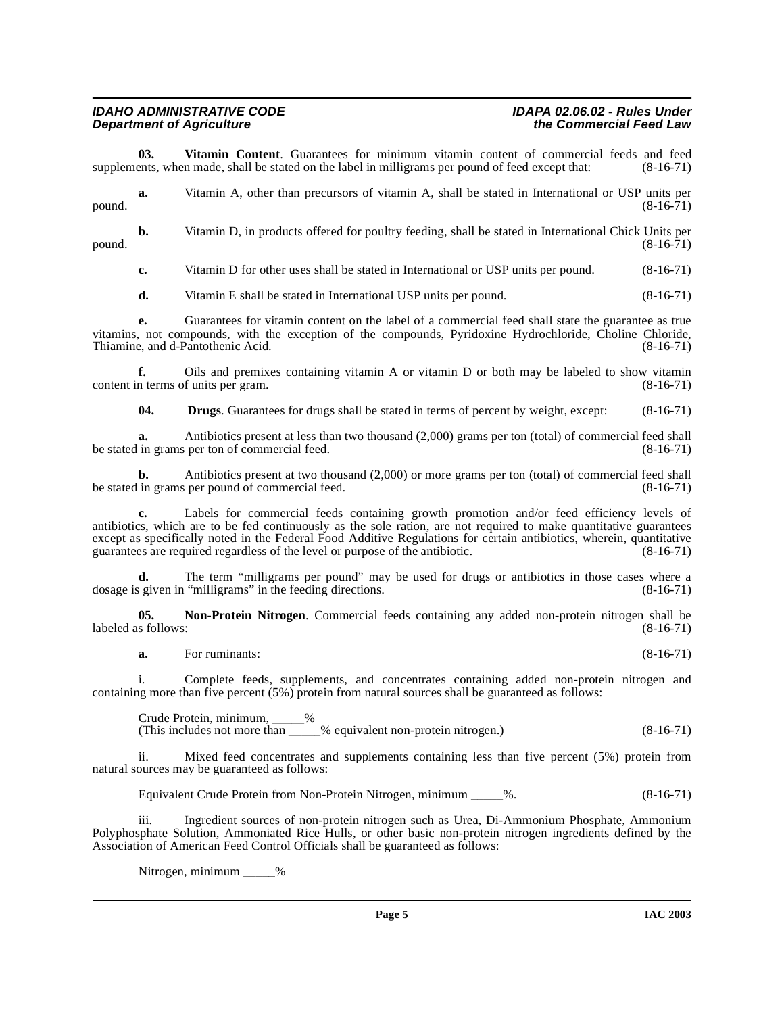### **IDAHO ADMINISTRATIVE CODE IDAPA 02.06.02 - Rules Under Department of Agriculture**

<span id="page-4-1"></span>**03. Vitamin Content**. Guarantees for minimum vitamin content of commercial feeds and feed ents, when made, shall be stated on the label in milligrams per pound of feed except that: (8-16-71) supplements, when made, shall be stated on the label in milligrams per pound of feed except that:

**a.** Vitamin A, other than precursors of vitamin A, shall be stated in International or USP units per (8-16-71)  $p$ ound.  $(8-16-71)$ 

**b.** Vitamin D, in products offered for poultry feeding, shall be stated in International Chick Units per (8-16-71)  $p$ ound.  $(8-16-71)$ 

**c.** Vitamin D for other uses shall be stated in International or USP units per pound. (8-16-71)

**d.** Vitamin E shall be stated in International USP units per pound. (8-16-71)

**e.** Guarantees for vitamin content on the label of a commercial feed shall state the guarantee as true vitamins, not compounds, with the exception of the compounds, Pyridoxine Hydrochloride, Choline Chloride, Thiamine, and d-Pantothenic Acid. (8-16-71)

**f.** Oils and premixes containing vitamin A or vitamin D or both may be labeled to show vitamin content in terms of units per gram. (8-16-71)

**04. Drugs**. Guarantees for drugs shall be stated in terms of percent by weight, except: (8-16-71)

**a.** Antibiotics present at less than two thousand (2,000) grams per ton (total) of commercial feed shall in grams per ton of commercial feed. (8-16-71) be stated in grams per ton of commercial feed.

**b.** Antibiotics present at two thousand (2,000) or more grams per ton (total) of commercial feed shall in grams per pound of commercial feed. (8-16-71) be stated in grams per pound of commercial feed.

**c.** Labels for commercial feeds containing growth promotion and/or feed efficiency levels of antibiotics, which are to be fed continuously as the sole ration, are not required to make quantitative guarantees except as specifically noted in the Federal Food Additive Regulations for certain antibiotics, wherein, quantitative guarantees are required regardless of the level or purpose of the antibiotic. (8-16-71)

**d.** The term "milligrams per pound" may be used for drugs or antibiotics in those cases where a given in "milligrams" in the feeding directions. (8-16-71) dosage is given in "milligrams" in the feeding directions.

**05.** Non-Protein Nitrogen. Commercial feeds containing any added non-protein nitrogen shall be s follows: (8-16-71) labeled as follows:

<span id="page-4-0"></span>**a.** For ruminants: (8-16-71)

i. Complete feeds, supplements, and concentrates containing added non-protein nitrogen and containing more than five percent  $(5\%)$  protein from natural sources shall be guaranteed as follows:

Crude Protein, minimum, \_\_\_\_\_% (This includes not more than \_\_\_\_\_% equivalent non-protein nitrogen.) (8-16-71)

ii. Mixed feed concentrates and supplements containing less than five percent (5%) protein from natural sources may be guaranteed as follows:

Equivalent Crude Protein from Non-Protein Nitrogen, minimum \_\_\_\_\_%. (8-16-71)

iii. Ingredient sources of non-protein nitrogen such as Urea, Di-Ammonium Phosphate, Ammonium Polyphosphate Solution, Ammoniated Rice Hulls, or other basic non-protein nitrogen ingredients defined by the Association of American Feed Control Officials shall be guaranteed as follows:

Nitrogen, minimum %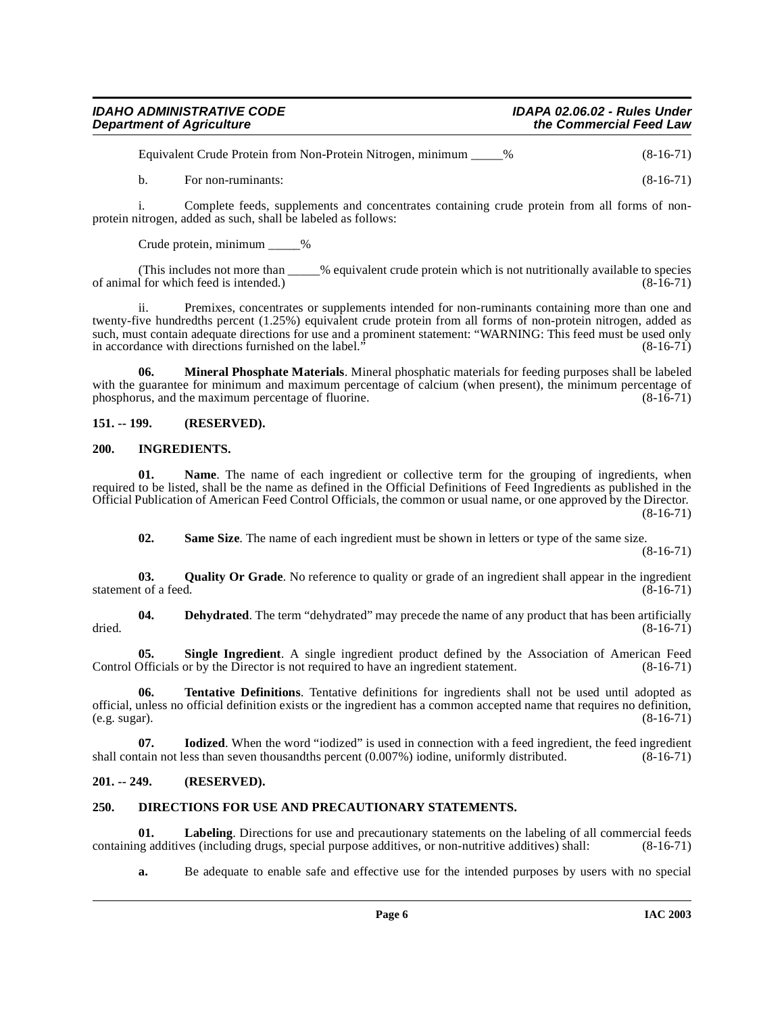| <b>IDAHO ADMINISTRATIVE CODE</b> | <b>IDAPA 02.06.02 - Rules Under</b> |
|----------------------------------|-------------------------------------|
| <b>Department of Agriculture</b> | the Commercial Feed Law             |

| Equivalent Crude Protein from Non-Protein Nitrogen, minimum _____% |  | $(8-16-71)$ |
|--------------------------------------------------------------------|--|-------------|
|--------------------------------------------------------------------|--|-------------|

b. For non-ruminants: (8-16-71)

i. Complete feeds, supplements and concentrates containing crude protein from all forms of nonprotein nitrogen, added as such, shall be labeled as follows:

Crude protein, minimum \_\_\_\_\_%

(This includes not more than \_\_\_\_\_% equivalent crude protein which is not nutritionally available to species 1 for which feed is intended.) (8-16-71) of animal for which feed is intended.)

ii. Premixes, concentrates or supplements intended for non-ruminants containing more than one and twenty-five hundredths percent (1.25%) equivalent crude protein from all forms of non-protein nitrogen, added as such, must contain adequate directions for use and a prominent statement: "WARNING: This feed must be used only<br>in accordance with directions furnished on the label." (8-16-71) in accordance with directions furnished on the label.'

<span id="page-5-9"></span>**06. Mineral Phosphate Materials**. Mineral phosphatic materials for feeding purposes shall be labeled with the guarantee for minimum and maximum percentage of calcium (when present), the minimum percentage of phosphorus, and the maximum percentage of fluorine. (8-16-71)

# <span id="page-5-6"></span><span id="page-5-0"></span>**151. -- 199. (RESERVED).**

# <span id="page-5-1"></span>**200. INGREDIENTS.**

**01. Name**. The name of each ingredient or collective term for the grouping of ingredients, when required to be listed, shall be the name as defined in the Official Definitions of Feed Ingredients as published in the Official Publication of American Feed Control Officials, the common or usual name, or one approved by the Director. (8-16-71)

<span id="page-5-12"></span><span id="page-5-11"></span><span id="page-5-10"></span><span id="page-5-4"></span>**02.** Same Size. The name of each ingredient must be shown in letters or type of the same size.

(8-16-71)

**03.** Quality Or Grade. No reference to quality or grade of an ingredient shall appear in the ingredient t of a feed.  $(8-16-71)$ statement of a feed.

**04. Dehydrated**. The term "dehydrated" may precede the name of any product that has been artificially (8-16-71) dried.  $(8-16-71)$ 

<span id="page-5-13"></span>**05. Single Ingredient**. A single ingredient product defined by the Association of American Feed Officials or by the Director is not required to have an ingredient statement. (8-16-71) Control Officials or by the Director is not required to have an ingredient statement.

<span id="page-5-14"></span>**06. Tentative Definitions**. Tentative definitions for ingredients shall not be used until adopted as official, unless no official definition exists or the ingredient has a common accepted name that requires no definition,  $(e.g. sugar)$ .  $(8-16-71)$ (e.g. sugar). (8-16-71)

<span id="page-5-7"></span>**07. Iodized**. When the word "iodized" is used in connection with a feed ingredient, the feed ingredient shall contain not less than seven thousandths percent (0.007%) iodine, uniformly distributed. (8-16-71)

# <span id="page-5-2"></span>**201. -- 249. (RESERVED).**

# <span id="page-5-5"></span><span id="page-5-3"></span>**250. DIRECTIONS FOR USE AND PRECAUTIONARY STATEMENTS.**

**01.** Labeling. Directions for use and precautionary statements on the labeling of all commercial feeds is additives (including drugs, special purpose additives, or non-nutritive additives) shall: (8-16-71) containing additives (including drugs, special purpose additives, or non-nutritive additives) shall:

<span id="page-5-8"></span>**a.** Be adequate to enable safe and effective use for the intended purposes by users with no special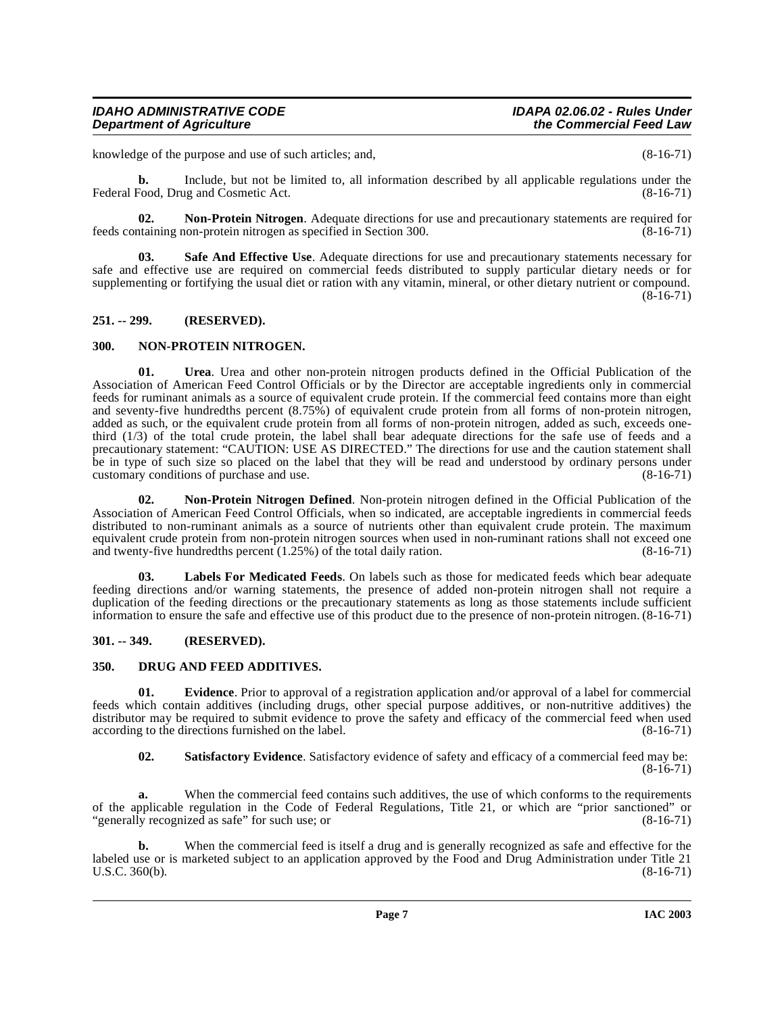knowledge of the purpose and use of such articles; and,  $(8-16-71)$ 

**b.** Include, but not be limited to, all information described by all applicable regulations under the Federal Food, Drug and Cosmetic Act. (8-16-71)

<span id="page-6-8"></span>**02.** Non-Protein Nitrogen. Adequate directions for use and precautionary statements are required for taining non-protein nitrogen as specified in Section 300. feeds containing non-protein nitrogen as specified in Section 300.

<span id="page-6-10"></span>**03. Safe And Effective Use**. Adequate directions for use and precautionary statements necessary for safe and effective use are required on commercial feeds distributed to supply particular dietary needs or for supplementing or fortifying the usual diet or ration with any vitamin, mineral, or other dietary nutrient or compound.  $(8-16-71)$ 

### <span id="page-6-0"></span>**251. -- 299. (RESERVED).**

### <span id="page-6-9"></span><span id="page-6-1"></span>**300. NON-PROTEIN NITROGEN.**

<span id="page-6-12"></span>**01. Urea**. Urea and other non-protein nitrogen products defined in the Official Publication of the Association of American Feed Control Officials or by the Director are acceptable ingredients only in commercial feeds for ruminant animals as a source of equivalent crude protein. If the commercial feed contains more than eight and seventy-five hundredths percent (8.75%) of equivalent crude protein from all forms of non-protein nitrogen, added as such, or the equivalent crude protein from all forms of non-protein nitrogen, added as such, exceeds onethird (1/3) of the total crude protein, the label shall bear adequate directions for the safe use of feeds and a precautionary statement: "CAUTION: USE AS DIRECTED." The directions for use and the caution statement shall be in type of such size so placed on the label that they will be read and understood by ordinary persons under customary conditions of purchase and use. (8-16-71)

<span id="page-6-7"></span>**02. Non-Protein Nitrogen Defined**. Non-protein nitrogen defined in the Official Publication of the Association of American Feed Control Officials, when so indicated, are acceptable ingredients in commercial feeds distributed to non-ruminant animals as a source of nutrients other than equivalent crude protein. The maximum equivalent crude protein from non-protein nitrogen sources when used in non-ruminant rations shall not exceed one<br>and twenty-five hundredths percent (1.25%) of the total daily ration. and twenty-five hundredths percent  $(1.25\%)$  of the total daily ration.

<span id="page-6-6"></span>**03. Labels For Medicated Feeds**. On labels such as those for medicated feeds which bear adequate feeding directions and/or warning statements, the presence of added non-protein nitrogen shall not require a duplication of the feeding directions or the precautionary statements as long as those statements include sufficient information to ensure the safe and effective use of this product due to the presence of non-protein nitrogen. (8-16-71)

# <span id="page-6-2"></span>**301. -- 349. (RESERVED).**

### <span id="page-6-4"></span><span id="page-6-3"></span>**350. DRUG AND FEED ADDITIVES.**

**01. Evidence**. Prior to approval of a registration application and/or approval of a label for commercial feeds which contain additives (including drugs, other special purpose additives, or non-nutritive additives) the distributor may be required to submit evidence to prove the safety and efficacy of the commercial feed when used according to the directions furnished on the label. (8-16-71) according to the directions furnished on the label.

<span id="page-6-11"></span><span id="page-6-5"></span>**02. Satisfactory Evidence**. Satisfactory evidence of safety and efficacy of a commercial feed may be:  $(8-16-71)$ 

**a.** When the commercial feed contains such additives, the use of which conforms to the requirements of the applicable regulation in the Code of Federal Regulations, Title 21, or which are "prior sanctioned" or "generally recognized as safe" for such use; or (8-16-71)

**b.** [When the commercial feed is itself a drug and is generally recognized as safe and effective for the](http://www4.law.cornell.edu/uscode/21/360.html) [labeled use or is marketed subject to an application approved by the Food and Drug Administration under Title 21](http://www4.law.cornell.edu/uscode/21/360.html) U.S.C. 360(b). (8-16-71)  $U.S.C. 360(b).$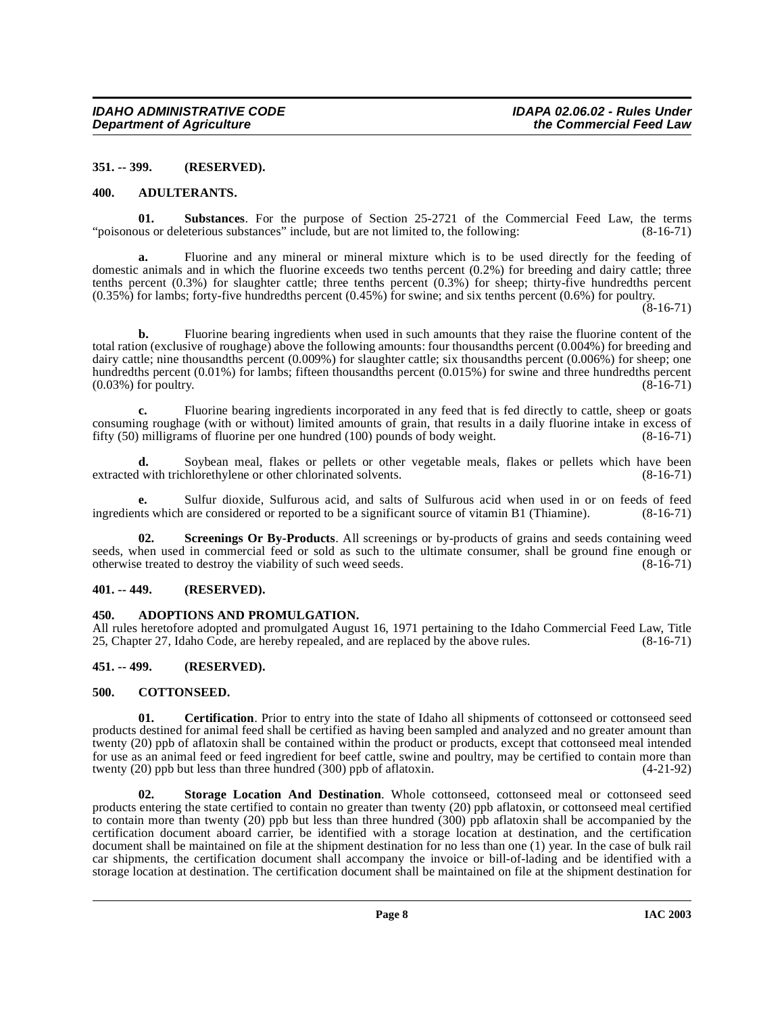### <span id="page-7-0"></span>**351. -- 399. (RESERVED).**

### <span id="page-7-7"></span><span id="page-7-1"></span>**400. ADULTERANTS.**

<span id="page-7-12"></span>**01. Substances**. For the purpose of Section 25-2721 of the Commercial Feed Law, the terms ous or deleterious substances" include, but are not limited to, the following: (8-16-71) "poisonous or deleterious substances" include, but are not limited to, the following:

**a.** Fluorine and any mineral or mineral mixture which is to be used directly for the feeding of domestic animals and in which the fluorine exceeds two tenths percent (0.2%) for breeding and dairy cattle; three tenths percent (0.3%) for slaughter cattle; three tenths percent (0.3%) for sheep; thirty-five hundredths percent (0.35%) for lambs; forty-five hundredths percent (0.45%) for swine; and six tenths percent (0.6%) for poultry.

 $(8-16-71)$ 

**b.** Fluorine bearing ingredients when used in such amounts that they raise the fluorine content of the total ration (exclusive of roughage) above the following amounts: four thousandths percent (0.004%) for breeding and dairy cattle; nine thousandths percent (0.009%) for slaughter cattle; six thousandths percent (0.006%) for sheep; one hundredths percent (0.01%) for lambs; fifteen thousandths percent (0.015%) for swine and three hundredths percent  $(0.03\%)$  for poultry.  $(8-16-71)$ 

**c.** Fluorine bearing ingredients incorporated in any feed that is fed directly to cattle, sheep or goats consuming roughage (with or without) limited amounts of grain, that results in a daily fluorine intake in excess of fifty (50) milligrams of fluorine per one hundred (100) pounds of body weight. (8-16-71) fifty  $(50)$  milligrams of fluorine per one hundred  $(100)$  pounds of body weight.

**d.** Soybean meal, flakes or pellets or other vegetable meals, flakes or pellets which have been extracted with trichlorethylene or other chlorinated solvents. (8-16-71)

**e.** Sulfur dioxide, Sulfurous acid, and salts of Sulfurous acid when used in or on feeds of feed this which are considered or reported to be a significant source of vitamin B1 (Thiamine). (8-16-71) ingredients which are considered or reported to be a significant source of vitamin B1 (Thiamine).

<span id="page-7-10"></span>**Screenings Or By-Products**. All screenings or by-products of grains and seeds containing weed seeds, when used in commercial feed or sold as such to the ultimate consumer, shall be ground fine enough or otherwise treated to destroy the viability of such weed seeds. (8-16-71) otherwise treated to destroy the viability of such weed seeds.

### <span id="page-7-2"></span>**401. -- 449. (RESERVED).**

# <span id="page-7-6"></span><span id="page-7-3"></span>**450. ADOPTIONS AND PROMULGATION.**

All rules heretofore adopted and promulgated August 16, 1971 pertaining to the Idaho Commercial Feed Law, Title 25, Chapter 27, Idaho Code, are hereby repealed, and are replaced by the above rules. (8-16-71)

# <span id="page-7-4"></span>**451. -- 499. (RESERVED).**

### <span id="page-7-9"></span><span id="page-7-5"></span>**500. COTTONSEED.**

<span id="page-7-8"></span>**01. Certification**. Prior to entry into the state of Idaho all shipments of cottonseed or cottonseed seed products destined for animal feed shall be certified as having been sampled and analyzed and no greater amount than twenty (20) ppb of aflatoxin shall be contained within the product or products, except that cottonseed meal intended for use as an animal feed or feed ingredient for beef cattle, swine and poultry, may be certified to contain more than twenty (20) ppb but less than three hundred (300) ppb of aflatoxin.  $(4-21-92)$ 

<span id="page-7-11"></span>**02. Storage Location And Destination**. Whole cottonseed, cottonseed meal or cottonseed seed products entering the state certified to contain no greater than twenty (20) ppb aflatoxin, or cottonseed meal certified to contain more than twenty (20) ppb but less than three hundred (300) ppb aflatoxin shall be accompanied by the certification document aboard carrier, be identified with a storage location at destination, and the certification document shall be maintained on file at the shipment destination for no less than one (1) year. In the case of bulk rail car shipments, the certification document shall accompany the invoice or bill-of-lading and be identified with a storage location at destination. The certification document shall be maintained on file at the shipment destination for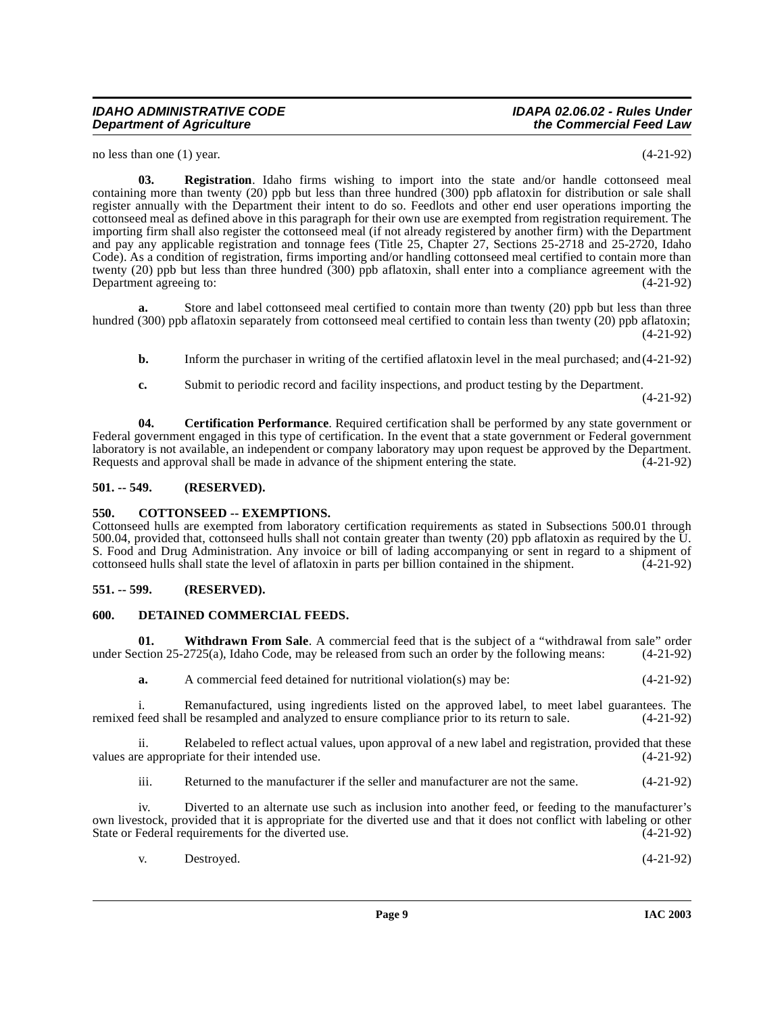### **IDAHO ADMINISTRATIVE CODE IDAPA 02.06.02 - Rules Under Department of Agriculture**

no less than one (1) year. (4-21-92)

<span id="page-8-7"></span>**03. Registration**. Idaho firms wishing to import into the state and/or handle cottonseed meal containing more than twenty (20) ppb but less than three hundred (300) ppb aflatoxin for distribution or sale shall register annually with the Department their intent to do so. Feedlots and other end user operations importing the cottonseed meal as defined above in this paragraph for their own use are exempted from registration requirement. The importing firm shall also register the cottonseed meal (if not already registered by another firm) with the Department and pay any applicable registration and tonnage fees (Title 25, Chapter 27, Sections 25-2718 and 25-2720, Idaho Code). As a condition of registration, firms importing and/or handling cottonseed meal certified to contain more than twenty (20) ppb but less than three hundred (300) ppb aflatoxin, shall enter into a compliance agreement with the Department agreeing to:  $(4-21-92)$ 

**a.** Store and label cottonseed meal certified to contain more than twenty (20) ppb but less than three hundred (300) ppb aflatoxin separately from cottonseed meal certified to contain less than twenty (20) ppb aflatoxin; (4-21-92)

- **b.** Inform the purchaser in writing of the certified aflatoxin level in the meal purchased; and (4-21-92)
- <span id="page-8-4"></span>**c.** Submit to periodic record and facility inspections, and product testing by the Department.

(4-21-92)

**04. Certification Performance**. Required certification shall be performed by any state government or Federal government engaged in this type of certification. In the event that a state government or Federal government laboratory is not available, an independent or company laboratory may upon request be approved by the Department.<br>Requests and approval shall be made in advance of the shipment entering the state. (4-21-92) Requests and approval shall be made in advance of the shipment entering the state.

# <span id="page-8-0"></span>**501. -- 549. (RESERVED).**

# <span id="page-8-5"></span><span id="page-8-1"></span>**550. COTTONSEED -- EXEMPTIONS.**

Cottonseed hulls are exempted from laboratory certification requirements as stated in Subsections 500.01 through 500.04, provided that, cottonseed hulls shall not contain greater than twenty (20) ppb aflatoxin as required by the U. S. Food and Drug Administration. Any invoice or bill of lading accompanying or sent in regard to a shipment of cottonseed hulls shall state the level of aflatoxin in parts per billion contained in the shipment. (4-21-92)

# <span id="page-8-2"></span>**551. -- 599. (RESERVED).**

# <span id="page-8-6"></span><span id="page-8-3"></span>**600. DETAINED COMMERCIAL FEEDS.**

**01.** Withdrawn From Sale. A commercial feed that is the subject of a "withdrawal from sale" order ction 25-2725(a), Idaho Code, may be released from such an order by the following means: (4-21-92) under Section  $25-2725(a)$ , Idaho Code, may be released from such an order by the following means:

<span id="page-8-8"></span>**a.** A commercial feed detained for nutritional violation(s) may be: (4-21-92)

i. Remanufactured, using ingredients listed on the approved label, to meet label guarantees. The feed shall be resampled and analyzed to ensure compliance prior to its return to sale. (4-21-92) remixed feed shall be resampled and analyzed to ensure compliance prior to its return to sale.

ii. Relabeled to reflect actual values, upon approval of a new label and registration, provided that these values are appropriate for their intended use. (4-21-92)

iii. Returned to the manufacturer if the seller and manufacturer are not the same. (4-21-92)

iv. Diverted to an alternate use such as inclusion into another feed, or feeding to the manufacturer's own livestock, provided that it is appropriate for the diverted use and that it does not conflict with labeling or other State or Federal requirements for the diverted use. (4-21-92)

|  | Destroyed. | $(4-21-92)$ |
|--|------------|-------------|
|--|------------|-------------|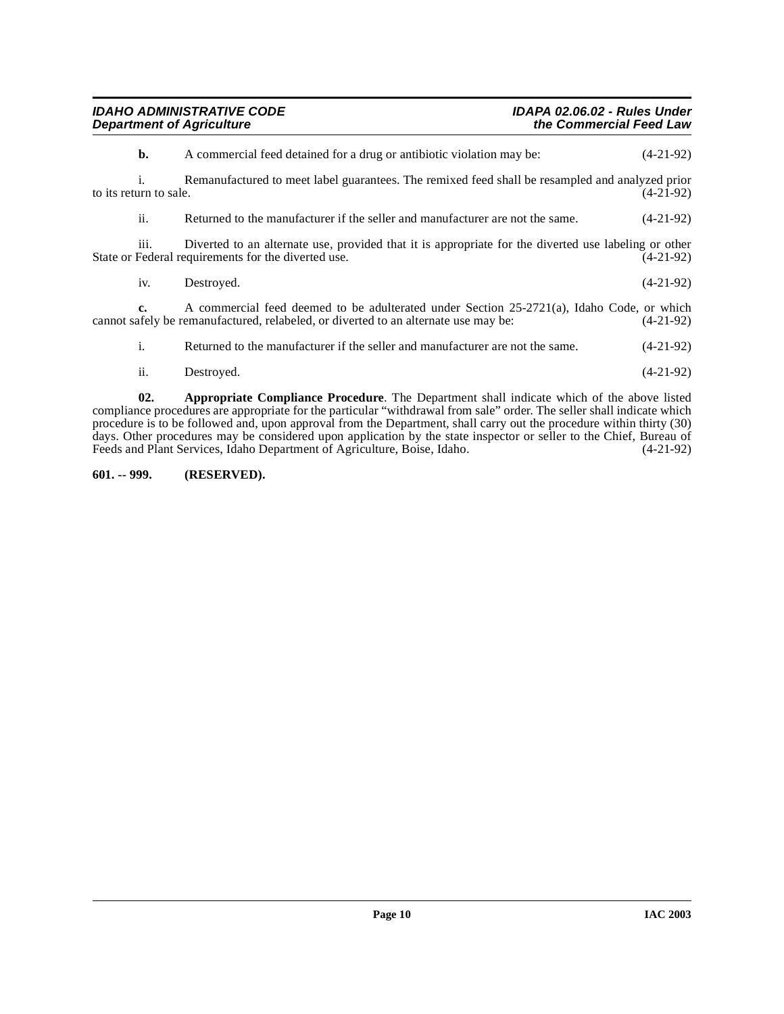| <b>IDAHO ADMINISTRATIVE CODE</b> | <b>IDAPA 02.06.02 - Rules Under</b> |
|----------------------------------|-------------------------------------|
| <b>Department of Agriculture</b> | the Commercial Feed Law             |

| b.                     | A commercial feed detained for a drug or antibiotic violation may be:                                                                                                            | $(4-21-92)$ |
|------------------------|----------------------------------------------------------------------------------------------------------------------------------------------------------------------------------|-------------|
| to its return to sale. | Remanufactured to meet label guarantees. The remixed feed shall be resampled and analyzed prior                                                                                  | $(4-21-92)$ |
| ii.                    | Returned to the manufacturer if the seller and manufacturer are not the same.                                                                                                    | $(4-21-92)$ |
| 111.                   | Diverted to an alternate use, provided that it is appropriate for the diverted use labeling or other<br>State or Federal requirements for the diverted use.                      | $(4-21-92)$ |
| iv.                    | Destroyed.                                                                                                                                                                       | $(4-21-92)$ |
| c.                     | A commercial feed deemed to be adulterated under Section 25-2721(a), Idaho Code, or which<br>cannot safely be remanufactured, relabeled, or diverted to an alternate use may be: | $(4-21-92)$ |
| i.                     | Returned to the manufacturer if the seller and manufacturer are not the same.                                                                                                    | $(4-21-92)$ |
| ii.                    | Destroyed.                                                                                                                                                                       | $(4-21-92)$ |

<span id="page-9-1"></span>**02. Appropriate Compliance Procedure**. The Department shall indicate which of the above listed compliance procedures are appropriate for the particular "withdrawal from sale" order. The seller shall indicate which procedure is to be followed and, upon approval from the Department, shall carry out the procedure within thirty (30) days. Other procedures may be considered upon application by the state inspector or seller to the Chief, Bureau of Feeds and Plant Services, Idaho Department of Agriculture, Boise, Idaho. (4-21-92)

# <span id="page-9-0"></span>**601. -- 999. (RESERVED).**